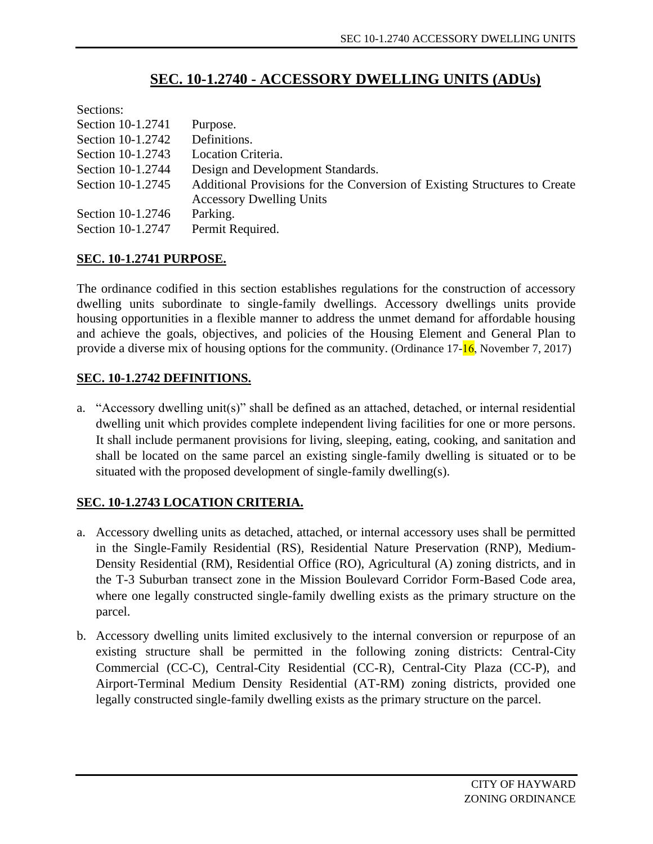# **SEC. 10-1.2740 - ACCESSORY DWELLING UNITS (ADUs)**

| Sections:         |                                                                           |
|-------------------|---------------------------------------------------------------------------|
| Section 10-1.2741 | Purpose.                                                                  |
| Section 10-1.2742 | Definitions.                                                              |
| Section 10-1.2743 | Location Criteria.                                                        |
| Section 10-1.2744 | Design and Development Standards.                                         |
| Section 10-1.2745 | Additional Provisions for the Conversion of Existing Structures to Create |
|                   | <b>Accessory Dwelling Units</b>                                           |
| Section 10-1.2746 | Parking.                                                                  |
| Section 10-1.2747 | Permit Required.                                                          |

## **SEC. 10-1.2741 PURPOSE.**

The ordinance codified in this section establishes regulations for the construction of accessory dwelling units subordinate to single-family dwellings. Accessory dwellings units provide housing opportunities in a flexible manner to address the unmet demand for affordable housing and achieve the goals, objectives, and policies of the Housing Element and General Plan to provide a diverse mix of housing options for the community. (Ordinance  $17-\frac{16}{16}$ , November 7, 2017)

#### **SEC. 10-1.2742 DEFINITIONS.**

a. "Accessory dwelling unit(s)" shall be defined as an attached, detached, or internal residential dwelling unit which provides complete independent living facilities for one or more persons. It shall include permanent provisions for living, sleeping, eating, cooking, and sanitation and shall be located on the same parcel an existing single-family dwelling is situated or to be situated with the proposed development of single-family dwelling(s).

## **SEC. 10-1.2743 LOCATION CRITERIA.**

- a. Accessory dwelling units as detached, attached, or internal accessory uses shall be permitted in the Single-Family Residential (RS), Residential Nature Preservation (RNP), Medium-Density Residential (RM), Residential Office (RO), Agricultural (A) zoning districts, and in the T-3 Suburban transect zone in the Mission Boulevard Corridor Form-Based Code area, where one legally constructed single-family dwelling exists as the primary structure on the parcel.
- b. Accessory dwelling units limited exclusively to the internal conversion or repurpose of an existing structure shall be permitted in the following zoning districts: Central-City Commercial (CC-C), Central-City Residential (CC-R), Central-City Plaza (CC-P), and Airport-Terminal Medium Density Residential (AT-RM) zoning districts, provided one legally constructed single-family dwelling exists as the primary structure on the parcel.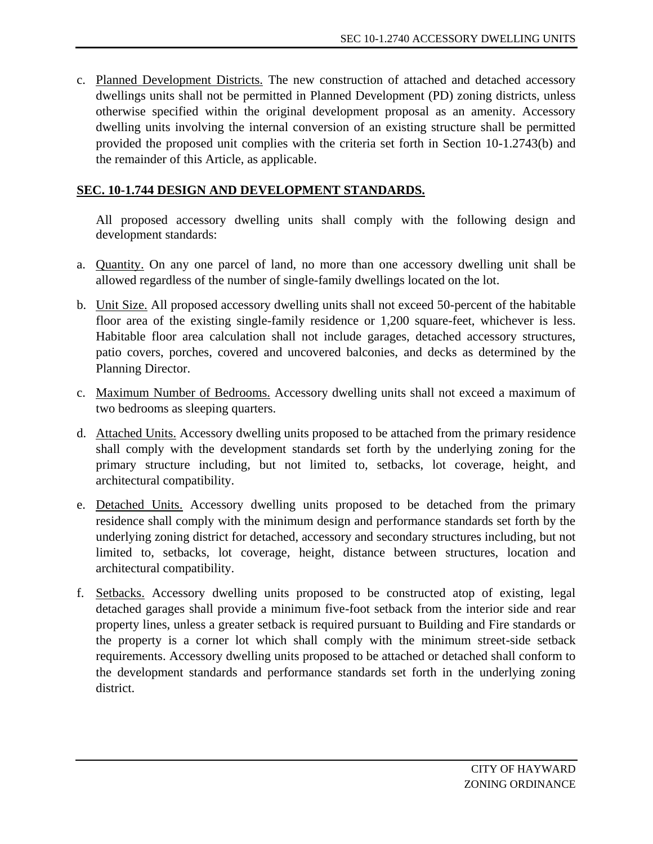c. Planned Development Districts. The new construction of attached and detached accessory dwellings units shall not be permitted in Planned Development (PD) zoning districts, unless otherwise specified within the original development proposal as an amenity. Accessory dwelling units involving the internal conversion of an existing structure shall be permitted provided the proposed unit complies with the criteria set forth in Section 10-1.2743(b) and the remainder of this Article, as applicable.

#### **SEC. 10-1.744 DESIGN AND DEVELOPMENT STANDARDS.**

All proposed accessory dwelling units shall comply with the following design and development standards:

- a. Quantity. On any one parcel of land, no more than one accessory dwelling unit shall be allowed regardless of the number of single-family dwellings located on the lot.
- b. Unit Size. All proposed accessory dwelling units shall not exceed 50-percent of the habitable floor area of the existing single-family residence or 1,200 square-feet, whichever is less. Habitable floor area calculation shall not include garages, detached accessory structures, patio covers, porches, covered and uncovered balconies, and decks as determined by the Planning Director.
- c. Maximum Number of Bedrooms. Accessory dwelling units shall not exceed a maximum of two bedrooms as sleeping quarters.
- d. Attached Units. Accessory dwelling units proposed to be attached from the primary residence shall comply with the development standards set forth by the underlying zoning for the primary structure including, but not limited to, setbacks, lot coverage, height, and architectural compatibility.
- e. Detached Units. Accessory dwelling units proposed to be detached from the primary residence shall comply with the minimum design and performance standards set forth by the underlying zoning district for detached, accessory and secondary structures including, but not limited to, setbacks, lot coverage, height, distance between structures, location and architectural compatibility.
- f. Setbacks. Accessory dwelling units proposed to be constructed atop of existing, legal detached garages shall provide a minimum five-foot setback from the interior side and rear property lines, unless a greater setback is required pursuant to Building and Fire standards or the property is a corner lot which shall comply with the minimum street-side setback requirements. Accessory dwelling units proposed to be attached or detached shall conform to the development standards and performance standards set forth in the underlying zoning district.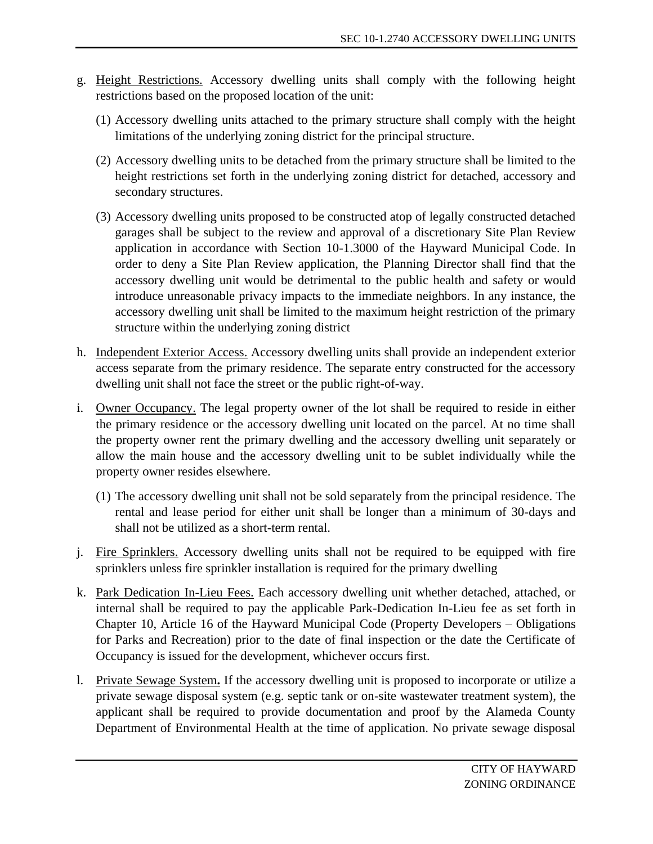- g. Height Restrictions. Accessory dwelling units shall comply with the following height restrictions based on the proposed location of the unit:
	- (1) Accessory dwelling units attached to the primary structure shall comply with the height limitations of the underlying zoning district for the principal structure.
	- (2) Accessory dwelling units to be detached from the primary structure shall be limited to the height restrictions set forth in the underlying zoning district for detached, accessory and secondary structures.
	- (3) Accessory dwelling units proposed to be constructed atop of legally constructed detached garages shall be subject to the review and approval of a discretionary Site Plan Review application in accordance with Section 10-1.3000 of the Hayward Municipal Code. In order to deny a Site Plan Review application, the Planning Director shall find that the accessory dwelling unit would be detrimental to the public health and safety or would introduce unreasonable privacy impacts to the immediate neighbors. In any instance, the accessory dwelling unit shall be limited to the maximum height restriction of the primary structure within the underlying zoning district
- h. Independent Exterior Access. Accessory dwelling units shall provide an independent exterior access separate from the primary residence. The separate entry constructed for the accessory dwelling unit shall not face the street or the public right-of-way.
- i. Owner Occupancy. The legal property owner of the lot shall be required to reside in either the primary residence or the accessory dwelling unit located on the parcel. At no time shall the property owner rent the primary dwelling and the accessory dwelling unit separately or allow the main house and the accessory dwelling unit to be sublet individually while the property owner resides elsewhere.
	- (1) The accessory dwelling unit shall not be sold separately from the principal residence. The rental and lease period for either unit shall be longer than a minimum of 30-days and shall not be utilized as a short-term rental.
- j. Fire Sprinklers. Accessory dwelling units shall not be required to be equipped with fire sprinklers unless fire sprinkler installation is required for the primary dwelling
- k. Park Dedication In-Lieu Fees. Each accessory dwelling unit whether detached, attached, or internal shall be required to pay the applicable Park-Dedication In-Lieu fee as set forth in Chapter 10, Article 16 of the Hayward Municipal Code (Property Developers – Obligations for Parks and Recreation) prior to the date of final inspection or the date the Certificate of Occupancy is issued for the development, whichever occurs first.
- l. Private Sewage System**.** If the accessory dwelling unit is proposed to incorporate or utilize a private sewage disposal system (e.g. septic tank or on-site wastewater treatment system), the applicant shall be required to provide documentation and proof by the Alameda County Department of Environmental Health at the time of application. No private sewage disposal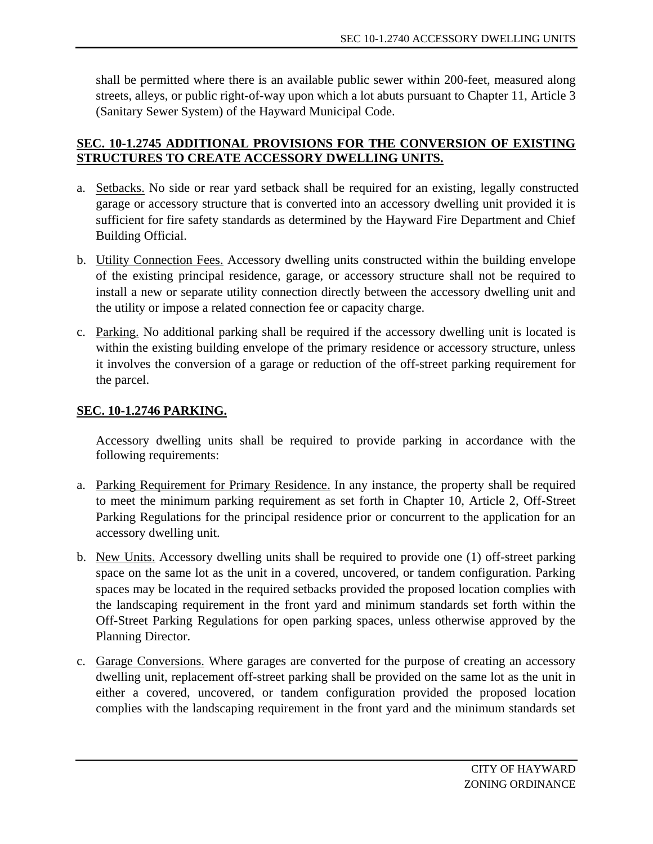shall be permitted where there is an available public sewer within 200-feet, measured along streets, alleys, or public right-of-way upon which a lot abuts pursuant to Chapter 11, Article 3 (Sanitary Sewer System) of the Hayward Municipal Code.

# **SEC. 10-1.2745 ADDITIONAL PROVISIONS FOR THE CONVERSION OF EXISTING STRUCTURES TO CREATE ACCESSORY DWELLING UNITS.**

- a. Setbacks. No side or rear yard setback shall be required for an existing, legally constructed garage or accessory structure that is converted into an accessory dwelling unit provided it is sufficient for fire safety standards as determined by the Hayward Fire Department and Chief Building Official.
- b. Utility Connection Fees. Accessory dwelling units constructed within the building envelope of the existing principal residence, garage, or accessory structure shall not be required to install a new or separate utility connection directly between the accessory dwelling unit and the utility or impose a related connection fee or capacity charge.
- c. Parking. No additional parking shall be required if the accessory dwelling unit is located is within the existing building envelope of the primary residence or accessory structure, unless it involves the conversion of a garage or reduction of the off-street parking requirement for the parcel.

# **SEC. 10-1.2746 PARKING.**

Accessory dwelling units shall be required to provide parking in accordance with the following requirements:

- a. Parking Requirement for Primary Residence. In any instance, the property shall be required to meet the minimum parking requirement as set forth in Chapter 10, Article 2, Off-Street Parking Regulations for the principal residence prior or concurrent to the application for an accessory dwelling unit.
- b. New Units. Accessory dwelling units shall be required to provide one (1) off-street parking space on the same lot as the unit in a covered, uncovered, or tandem configuration. Parking spaces may be located in the required setbacks provided the proposed location complies with the landscaping requirement in the front yard and minimum standards set forth within the Off-Street Parking Regulations for open parking spaces, unless otherwise approved by the Planning Director.
- c. Garage Conversions. Where garages are converted for the purpose of creating an accessory dwelling unit, replacement off-street parking shall be provided on the same lot as the unit in either a covered, uncovered, or tandem configuration provided the proposed location complies with the landscaping requirement in the front yard and the minimum standards set